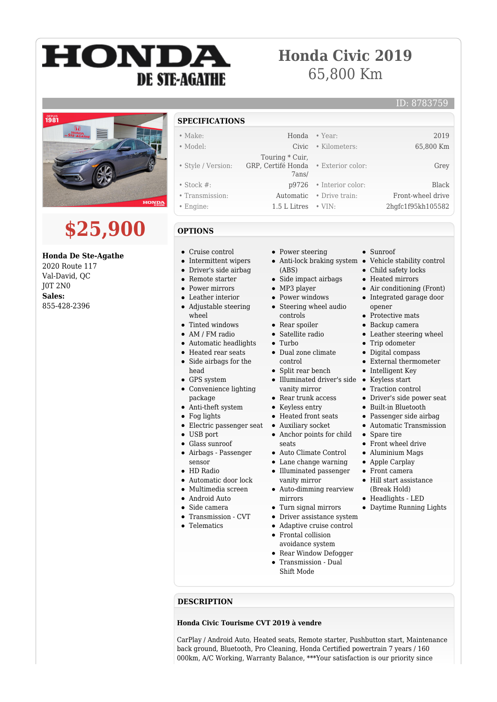# HONDA **DE STE-AGATHE**

### **Honda Civic 2019** 65,800 Km

#### ID: 8783759



## **\$25,900**

#### **Honda De Ste-Agathe**

2020 Route 117 Val-David, QC J0T 2N0 **Sales:** 855-428-2396

- **SPECIFICATIONS**
- Make: Honda Year: 2019
- Model: Civic Kilometers: 65,800 Km
- 
- Style / Version:
- 
- Stock #: p9726 Interior color: Black
- Transmission: Automatic Drive train: Front-wheel drive
- Engine: 1.5 L Litres VIN: 2hgfc1f95kh105582
- **OPTIONS**
- Cruise control
- Intermittent wipers
- Driver's side airbag
- Remote starter
- Power mirrors
- Leather interior
- Adjustable steering wheel
- Tinted windows
- AM / FM radio
- Automatic headlights
- Heated rear seats
- Side airbags for the  $\bullet$ head
- GPS system
- Convenience lighting package
- Anti-theft system
- Fog lights
- Electric passenger seat
- USB port
- Glass sunroof
- Airbags Passenger sensor
- **HD** Radio
- Automatic door lock
- Multimedia screen
- Android Auto
- Side camera
- Transmission CVT
- Telematics
- Power steering
- 

 Touring \* Cuir, GRP, Certifé Honda

7ans/

- (ABS)
- $\bullet~$  Side impact airbags
- MP3 player
- Power windows • Steering wheel audio
- controls
- Rear spoiler
- Satellite radio
- Turbo
- Dual zone climate control
- Split rear bench
- Illuminated driver's side Keyless start vanity mirror
- Rear trunk access
- Keyless entry  $\bullet$
- Heated front seats
- $\bullet$ Auxiliary socket
- Anchor points for child seats
- Auto Climate Control
- Lane change warning
- Illuminated passenger vanity mirror
- Auto-dimming rearview mirrors
- Turn signal mirrors
- Driver assistance system
- Adaptive cruise control Frontal collision
- avoidance system
- Rear Window Defogger Transmission - Dual Shift Mode

#### **DESCRIPTION**

#### **Honda Civic Tourisme CVT 2019 à vendre**

CarPlay / Android Auto, Heated seats, Remote starter, Pushbutton start, Maintenance back ground, Bluetooth, Pro Cleaning, Honda Certified powertrain 7 years / 160 000km, A/C Working, Warranty Balance, \*\*\*Your satisfaction is our priority since

• Sunroof

• Exterior color: Grey

- Anti-lock braking system Vehicle stability control
	- Child safety locks
	- Heated mirrors
	- Air conditioning (Front)
	- Integrated garage door opener
	- Protective mats
	- Backup camera
	- Leather steering wheel
	- Trip odometer
	- Digital compass
	- External thermometer
	- Intelligent Key
	-
	- Traction control
	- Driver's side power seat
	- Built-in Bluetooth
	- Passenger side airbag
	- Automatic Transmission
	- Spare tire
	- Front wheel drive
	- Aluminium Mags
	- Apple Carplay
	- Front camera
	- Hill start assistance (Break Hold)
	- Headlights LED Daytime Running Lights